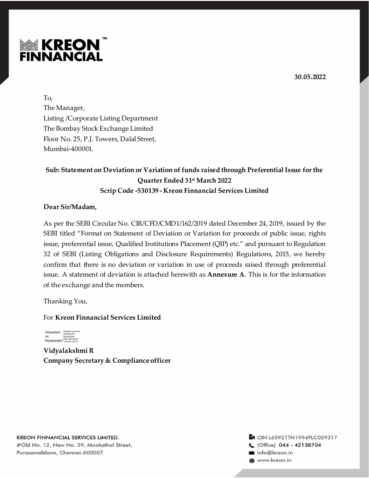



To, The Manager, Listing /Corporate Listing Department The Bombay Stock Exchange Limited Floor No. 25, P.J. Towers, Dalal Street, Mumbai-400001.

# **Sub: Statement on Deviation or Variation of funds raised through Preferential Issue for the Quarter Ended 31st March 2022 Scrip Code -530139 - Kreon Finnancial Services Limited**

## **Dear Sir/Madam,**

As per the SEBI Circular No. CIR/CFD/CMD1/162/2019 dated December 24, 2019, issued by the SEBI titled "Format on Statement of Deviation or Variation for proceeds of public issue, rights issue, preferential issue, Qualified Institutions Placement (QIP) etc." and pursuant to Regulation 32 of SEBI (Listing Obligations and Disclosure Requirements) Regulations, 2015, we hereby confirm that there is no deviation or variation in use of proceeds raised through preferential issue. A statement of deviation is attached herewith as **Annexure A**. This is for the information of the exchange and the members.

Thanking You,

## For **Kreon Finnancial Services Limited**



**Vidyalakshmi R Company Secretary & Compliance officer**

**KREON FINNANCIAL SERVICES LIMITED.** #Old No. 12, New No. 29, Mookathal Street, Purasawalkkam, Chennai-600007.

### **En CIN:L65921TN1994PLC029317** C (Office) 044 - 42138704 info@kreon.in th www.kreon.in